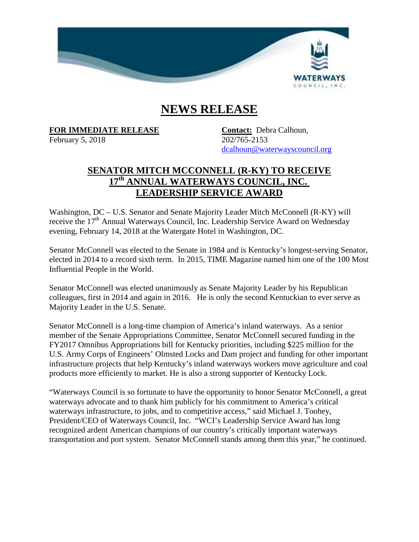

## **NEWS RELEASE**

**FOR IMMEDIATE RELEASE Contact:** Debra Calhoun,

February 5, 2018 202/765-2153

[dcalhoun@waterwayscouncil.org](mailto:dcalhoun@waterwayscouncil.org)

## **SENATOR MITCH MCCONNELL (R-KY) TO RECEIVE 17th ANNUAL WATERWAYS COUNCIL, INC. LEADERSHIP SERVICE AWARD**

Washington, DC – U.S. Senator and Senate Majority Leader Mitch McConnell (R-KY) will receive the  $17<sup>th</sup>$  Annual Waterways Council, Inc. Leadership Service Award on Wednesday evening, February 14, 2018 at the Watergate Hotel in Washington, DC.

Senator McConnell was elected to the Senate in 1984 and is Kentucky's longest-serving Senator, elected in 2014 to a record sixth term. In 2015, TIME Magazine named him one of the 100 Most Influential People in the World.

Senator McConnell was elected unanimously as Senate Majority Leader by his Republican colleagues, first in 2014 and again in 2016. He is only the second Kentuckian to ever serve as Majority Leader in the U.S. Senate.

Senator McConnell is a long-time champion of America's inland waterways. As a senior member of the Senate Appropriations Committee, Senator McConnell secured funding in the FY2017 Omnibus Appropriations bill for Kentucky priorities, including \$225 million for the U.S. Army Corps of Engineers' Olmsted Locks and Dam project and funding for other important infrastructure projects that help Kentucky's inland waterways workers move agriculture and coal products more efficiently to market. He is also a strong supporter of Kentucky Lock.

"Waterways Council is so fortunate to have the opportunity to honor Senator McConnell, a great waterways advocate and to thank him publicly for his commitment to America's critical waterways infrastructure, to jobs, and to competitive access," said Michael J. Toohey, President/CEO of Waterways Council, Inc. "WCI's Leadership Service Award has long recognized ardent American champions of our country's critically important waterways transportation and port system. Senator McConnell stands among them this year," he continued.